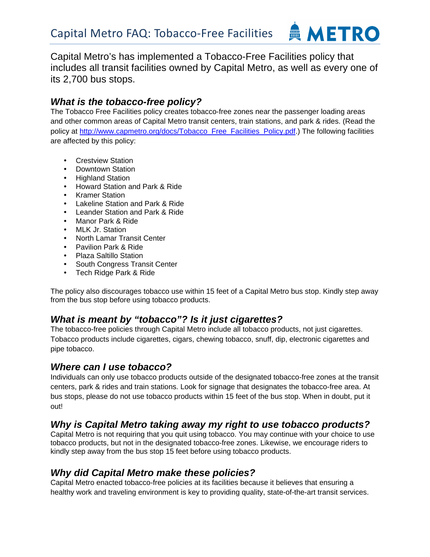

Capital Metro's has implemented a Tobacco-Free Facilities policy that includes all transit facilities owned by Capital Metro, as well as every one of its 2,700 bus stops.

#### **What is the tobacco-free policy?**

The Tobacco Free Facilities policy creates tobacco-free zones near the passenger loading areas and other common areas of Capital Metro transit centers, train stations, and park & rides. (Read the policy at http://www.capmetro.org/docs/Tobacco\_Free\_Facilities\_Policy.pdf.) The following facilities are affected by this policy:

- Crestview Station
- Downtown Station
- Highland Station
- Howard Station and Park & Ride
- Kramer Station
- Lakeline Station and Park & Ride
- Leander Station and Park & Ride
- Manor Park & Ride
- MLK Jr. Station
- North Lamar Transit Center
- Pavilion Park & Ride
- Plaza Saltillo Station
- South Congress Transit Center
- Tech Ridge Park & Ride

The policy also discourages tobacco use within 15 feet of a Capital Metro bus stop. Kindly step away from the bus stop before using tobacco products.

### **What is meant by "tobacco"? Is it just cigarettes?**

The tobacco-free policies through Capital Metro include all tobacco products, not just cigarettes. Tobacco products include cigarettes, cigars, chewing tobacco, snuff, dip, electronic cigarettes and pipe tobacco.

### **Where can I use tobacco?**

Individuals can only use tobacco products outside of the designated tobacco-free zones at the transit centers, park & rides and train stations. Look for signage that designates the tobacco-free area. At bus stops, please do not use tobacco products within 15 feet of the bus stop. When in doubt, put it out!

# **Why is Capital Metro taking away my right to use tobacco products?**

Capital Metro is not requiring that you quit using tobacco. You may continue with your choice to use tobacco products, but not in the designated tobacco-free zones. Likewise, we encourage riders to kindly step away from the bus stop 15 feet before using tobacco products.

### **Why did Capital Metro make these policies?**

Capital Metro enacted tobacco-free policies at its facilities because it believes that ensuring a healthy work and traveling environment is key to providing quality, state-of-the-art transit services.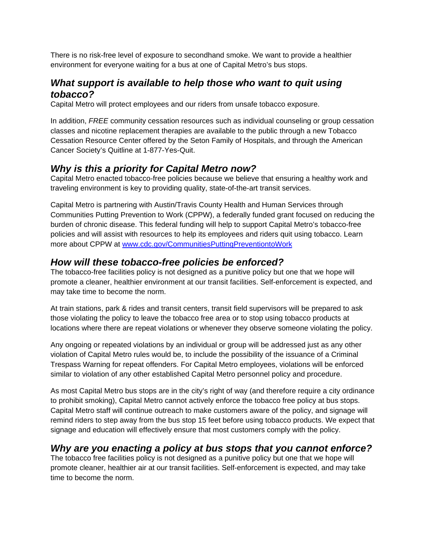There is no risk-free level of exposure to secondhand smoke. We want to provide a healthier environment for everyone waiting for a bus at one of Capital Metro's bus stops.

## **What support is available to help those who want to quit using tobacco?**

Capital Metro will protect employees and our riders from unsafe tobacco exposure.

In addition, FREE community cessation resources such as individual counseling or group cessation classes and nicotine replacement therapies are available to the public through a new Tobacco Cessation Resource Center offered by the Seton Family of Hospitals, and through the American Cancer Society's Quitline at 1-877-Yes-Quit.

#### **Why is this a priority for Capital Metro now?**

Capital Metro enacted tobacco-free policies because we believe that ensuring a healthy work and traveling environment is key to providing quality, state-of-the-art transit services.

Capital Metro is partnering with Austin/Travis County Health and Human Services through Communities Putting Prevention to Work (CPPW), a federally funded grant focused on reducing the burden of chronic disease. This federal funding will help to support Capital Metro's tobacco-free policies and will assist with resources to help its employees and riders quit using tobacco. Learn more about CPPW at www.cdc.gov/CommunitiesPuttingPreventiontoWork

### **How will these tobacco-free policies be enforced?**

The tobacco-free facilities policy is not designed as a punitive policy but one that we hope will promote a cleaner, healthier environment at our transit facilities. Self-enforcement is expected, and may take time to become the norm.

At train stations, park & rides and transit centers, transit field supervisors will be prepared to ask those violating the policy to leave the tobacco free area or to stop using tobacco products at locations where there are repeat violations or whenever they observe someone violating the policy.

Any ongoing or repeated violations by an individual or group will be addressed just as any other violation of Capital Metro rules would be, to include the possibility of the issuance of a Criminal Trespass Warning for repeat offenders. For Capital Metro employees, violations will be enforced similar to violation of any other established Capital Metro personnel policy and procedure.

As most Capital Metro bus stops are in the city's right of way (and therefore require a city ordinance to prohibit smoking), Capital Metro cannot actively enforce the tobacco free policy at bus stops. Capital Metro staff will continue outreach to make customers aware of the policy, and signage will remind riders to step away from the bus stop 15 feet before using tobacco products. We expect that signage and education will effectively ensure that most customers comply with the policy.

### **Why are you enacting a policy at bus stops that you cannot enforce?**

The tobacco free facilities policy is not designed as a punitive policy but one that we hope will promote cleaner, healthier air at our transit facilities. Self-enforcement is expected, and may take time to become the norm.